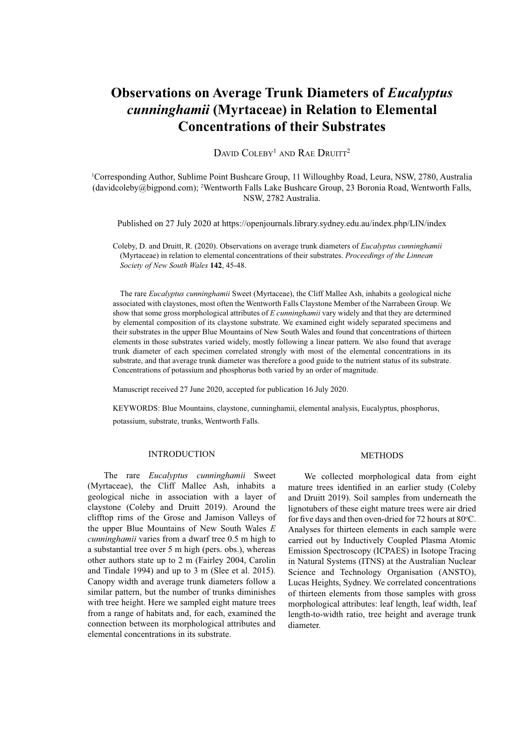# **Observations on Average Trunk Diameters of** *Eucalyptus cunninghamii* **(Myrtaceae) in Relation to Elemental Concentrations of their Substrates**

DAVID COLEBY<sup>1</sup> AND RAE DRUITT<sup>2</sup>

1 Corresponding Author, Sublime Point Bushcare Group, 11 Willoughby Road, Leura, NSW, 2780, Australia (davidcoleby@bigpond.com); 2 Wentworth Falls Lake Bushcare Group, 23 Boronia Road, Wentworth Falls, NSW, 2782 Australia.

Published on 27 July 2020 at https://openjournals.library.sydney.edu.au/index.php/LIN/index

Coleby, D. and Druitt, R. (2020). Observations on average trunk diameters of *Eucalyptus cunninghamii*  (Myrtaceae) in relation to elemental concentrations of their substrates. *Proceedings of the Linnean Society of New South Wales* **142**, 45-48.

The rare *Eucalyptus cunninghamii* Sweet (Myrtaceae), the Cliff Mallee Ash, inhabits a geological niche associated with claystones, most often the Wentworth Falls Claystone Member of the Narrabeen Group. We show that some gross morphological attributes of *E cunninghamii* vary widely and that they are determined by elemental composition of its claystone substrate. We examined eight widely separated specimens and their substrates in the upper Blue Mountains of New South Wales and found that concentrations of thirteen elements in those substrates varied widely, mostly following a linear pattern. We also found that average trunk diameter of each specimen correlated strongly with most of the elemental concentrations in its substrate, and that average trunk diameter was therefore a good guide to the nutrient status of its substrate. Concentrations of potassium and phosphorus both varied by an order of magnitude.

Manuscript received 27 June 2020, accepted for publication 16 July 2020.

KEYWORDS: Blue Mountains, claystone, cunninghamii, elemental analysis, Eucalyptus, phosphorus, potassium, substrate, trunks, Wentworth Falls.

## INTRODUCTION

The rare *Eucalyptus cunninghamii* Sweet (Myrtaceae), the Cliff Mallee Ash, inhabits a geological niche in association with a layer of claystone (Coleby and Druitt 2019). Around the clifftop rims of the Grose and Jamison Valleys of the upper Blue Mountains of New South Wales *E cunninghamii* varies from a dwarf tree 0.5 m high to a substantial tree over 5 m high (pers. obs.), whereas other authors state up to 2 m (Fairley 2004, Carolin and Tindale 1994) and up to 3 m (Slee et al. 2015). Canopy width and average trunk diameters follow a similar pattern, but the number of trunks diminishes with tree height. Here we sampled eight mature trees from a range of habitats and, for each, examined the connection between its morphological attributes and elemental concentrations in its substrate.

#### METHODS

We collected morphological data from eight mature trees identified in an earlier study (Coleby and Druitt 2019). Soil samples from underneath the lignotubers of these eight mature trees were air dried for five days and then oven-dried for  $72$  hours at  $80^{\circ}$ C. Analyses for thirteen elements in each sample were carried out by Inductively Coupled Plasma Atomic Emission Spectroscopy (ICPAES) in Isotope Tracing in Natural Systems (ITNS) at the Australian Nuclear Science and Technology Organisation (ANSTO), Lucas Heights, Sydney. We correlated concentrations of thirteen elements from those samples with gross morphological attributes: leaf length, leaf width, leaf length-to-width ratio, tree height and average trunk diameter.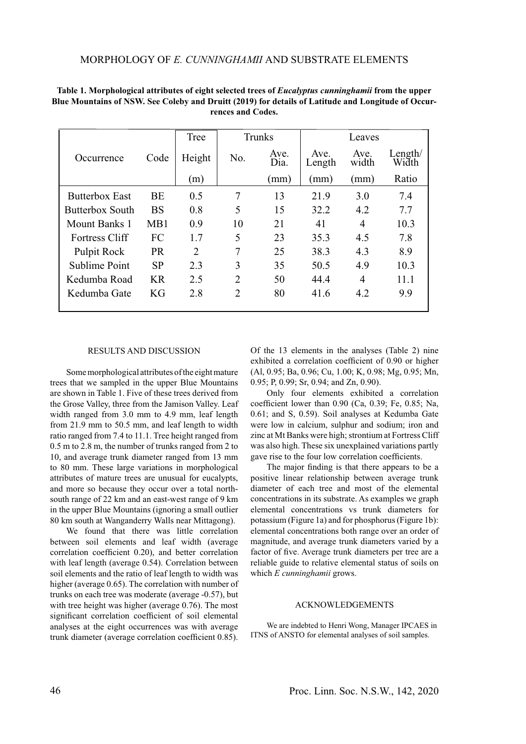|                       |           | Tree   |                | Trunks       |                | Leaves        |                  |
|-----------------------|-----------|--------|----------------|--------------|----------------|---------------|------------------|
| Occurrence            | Code      | Height | No.            | Ave.<br>Dia. | Ave.<br>Length | Ave.<br>width | Length/<br>Width |
|                       |           | (m)    |                | mm)          | (mm)           | (mm)          | Ratio            |
| <b>Butterbox East</b> | BE        | 0.5    | 7              | 13           | 21.9           | 3.0           | 7.4              |
| Butterbox South       | <b>BS</b> | 0.8    | 5              | 15           | 32.2           | 4.2           | 7.7              |
| Mount Banks 1         | MB1       | 0.9    | 10             | 21           | 41             | 4             | 10.3             |
| <b>Fortress Cliff</b> | FC        | 1.7    | 5              | 23           | 35.3           | 4.5           | 7.8              |
| Pulpit Rock           | <b>PR</b> | 2      | 7              | 25           | 38.3           | 4.3           | 8.9              |
| Sublime Point         | <b>SP</b> | 2.3    | 3              | 35           | 50.5           | 4.9           | 10.3             |
| Kedumba Road          | <b>KR</b> | 2.5    | $\overline{2}$ | 50           | 44.4           | 4             | 11.1             |
| Kedumba Gate          | KG        | 2.8    | $\overline{2}$ | 80           | 41.6           | 4.2           | 9.9              |

**Table 1. Morphological attributes of eight selected trees of** *Eucalyptus cunninghamii* **from the upper Blue Mountains of NSW. See Coleby and Druitt (2019) for details of Latitude and Longitude of Occurrences and Codes.**

#### RESULTS AND DISCUSSION

Some morphological attributes of the eight mature trees that we sampled in the upper Blue Mountains are shown in Table 1. Five of these trees derived from the Grose Valley, three from the Jamison Valley. Leaf width ranged from 3.0 mm to 4.9 mm, leaf length from 21.9 mm to 50.5 mm, and leaf length to width ratio ranged from 7.4 to 11.1. Tree height ranged from 0.5 m to 2.8 m, the number of trunks ranged from 2 to 10, and average trunk diameter ranged from 13 mm to 80 mm. These large variations in morphological attributes of mature trees are unusual for eucalypts, and more so because they occur over a total northsouth range of 22 km and an east-west range of 9 km in the upper Blue Mountains (ignoring a small outlier 80 km south at Wanganderry Walls near Mittagong).

We found that there was little correlation between soil elements and leaf width (average correlation coefficient 0.20), and better correlation with leaf length (average 0.54). Correlation between soil elements and the ratio of leaf length to width was higher (average 0.65). The correlation with number of trunks on each tree was moderate (average -0.57), but with tree height was higher (average 0.76). The most significant correlation coefficient of soil elemental analyses at the eight occurrences was with average trunk diameter (average correlation coefficient 0.85).

Of the 13 elements in the analyses (Table 2) nine exhibited a correlation coefficient of 0.90 or higher (Al, 0.95; Ba, 0.96; Cu, 1.00; K, 0.98; Mg, 0.95; Mn, 0.95; P, 0.99; Sr, 0.94; and Zn, 0.90).

Only four elements exhibited a correlation coefficient lower than  $0.90$  (Ca,  $0.39$ ; Fe,  $0.85$ ; Na, 0.61; and S, 0.59). Soil analyses at Kedumba Gate were low in calcium, sulphur and sodium; iron and zinc at Mt Banks were high; strontium at Fortress Cliff was also high. These six unexplained variations partly gave rise to the four low correlation coefficients.

The major finding is that there appears to be a positive linear relationship between average trunk diameter of each tree and most of the elemental concentrations in its substrate. As examples we graph elemental concentrations vs trunk diameters for potassium (Figure 1a) and for phosphorus (Figure 1b): elemental concentrations both range over an order of magnitude, and average trunk diameters varied by a factor of five. Average trunk diameters per tree are a reliable guide to relative elemental status of soils on which *E cunninghamii* grows.

## ACKNOWLEDGEMENTS

We are indebted to Henri Wong, Manager IPCAES in ITNS of ANSTO for elemental analyses of soil samples.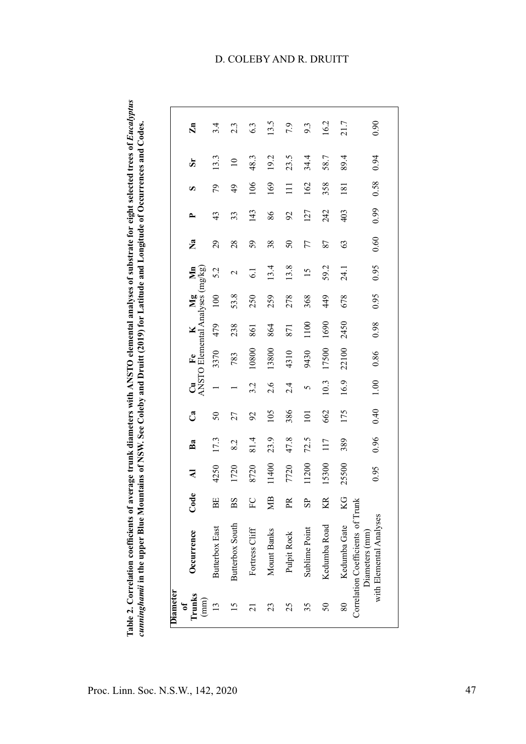Table 2. Correlation coefficients of average trunk diameters with ANSTO elemental analyses of substrate for eight selected trees of *Eucalyptus*<br>*cunninghamii* in the upper Blue Mountains of NSW. See Coleby and Druitt (201 Table 2. Correlation coefficients of average trunk diameters with ANSTO elemental analyses of substrate for eight selected trees of *Eucalyptus cunninghamii* in the upper Blue Mountains of NSW. See Coleby and Druitt (2019) for Latitude and Longitude of Occurrences and Codes.

| Occurrence                                                                     | Code        | ₹     | Ba   | Ca            |         | $\begin{array}{cc}\n\mathbf{Cu} & \mathbf{Fe} & \mathbf{K} & \mathbf{Mg} & \mathbf{Mn} \\ \text{ANSTO Elemental Analysis (mg/kg)}\n\end{array}$ |      |      |      | $\mathbf{a}$ | ≏             | Ω               | ä               | $\mathbf{Zn}$ |
|--------------------------------------------------------------------------------|-------------|-------|------|---------------|---------|-------------------------------------------------------------------------------------------------------------------------------------------------|------|------|------|--------------|---------------|-----------------|-----------------|---------------|
| Butterbox East                                                                 | BE          | 4250  | 17.3 | 50            |         | 3370                                                                                                                                            | 479  | 100  | 5.2  | 29           | 43            | 79              | 13.3            | 3.4           |
| Butterbox South                                                                | $_{\rm BS}$ | 1720  | 8.2  | 27            |         | 783                                                                                                                                             | 238  | 53.8 | 2    | 28           | 33            | $\overline{6}$  | $\overline{10}$ | 2.3           |
| Fortress Cliff                                                                 | $\rm{F}C$   | 8720  | 81.4 | $\mathcal{S}$ | 3.2     | 10800                                                                                                                                           | 861  | 250  | 6.1  | 59           | 143           | 106             | 48.3            | 6.3           |
| Mount Banks                                                                    | ЯM          | 11400 | 23.9 | 105           | 2.6     | 13800                                                                                                                                           | 864  | 259  | 13.4 | 38           | 86            | 169             | 19.2            | 13.5          |
| Pulpit Rock                                                                    | Æ           | 7720  | 47.8 | 386           | 2.4     | 4310                                                                                                                                            | 871  | 278  | 13.8 | 50           | $\mathcal{S}$ | $\overline{11}$ | 23.5            | 7.9           |
| Sublime Point                                                                  | ಕಿ          | 11200 | 72.5 | 101           | $\circ$ | 9430                                                                                                                                            | 1100 | 368  | 15   | 77           | 127           | 162             | 34.4            | 9.3           |
| Kedumba Road                                                                   | KR          | 15300 | 117  | 662           | 10.3    | 17500                                                                                                                                           | 1690 | 449  | 59.2 | 87           | 242           | 358             | 58.7            | 16.2          |
| Kedumba Gate                                                                   | KG          | 25500 | 389  | 175           | 16.9    | 22100                                                                                                                                           | 2450 | 678  | 24.1 | 63           | 403           | 181             | 89.4            | 21.7          |
| Correlation Coefficients of Trunk<br>with Elemental Analyses<br>Diameters (mm) |             | 0.95  | 0.96 | 0.40          | 1.00    | 0.86                                                                                                                                            | 0.98 | 0.95 | 0.95 | 0.60         | 0.99          | 0.58            | 0.94            | 0.90          |

# D. COLEBY AND R. DRUITT